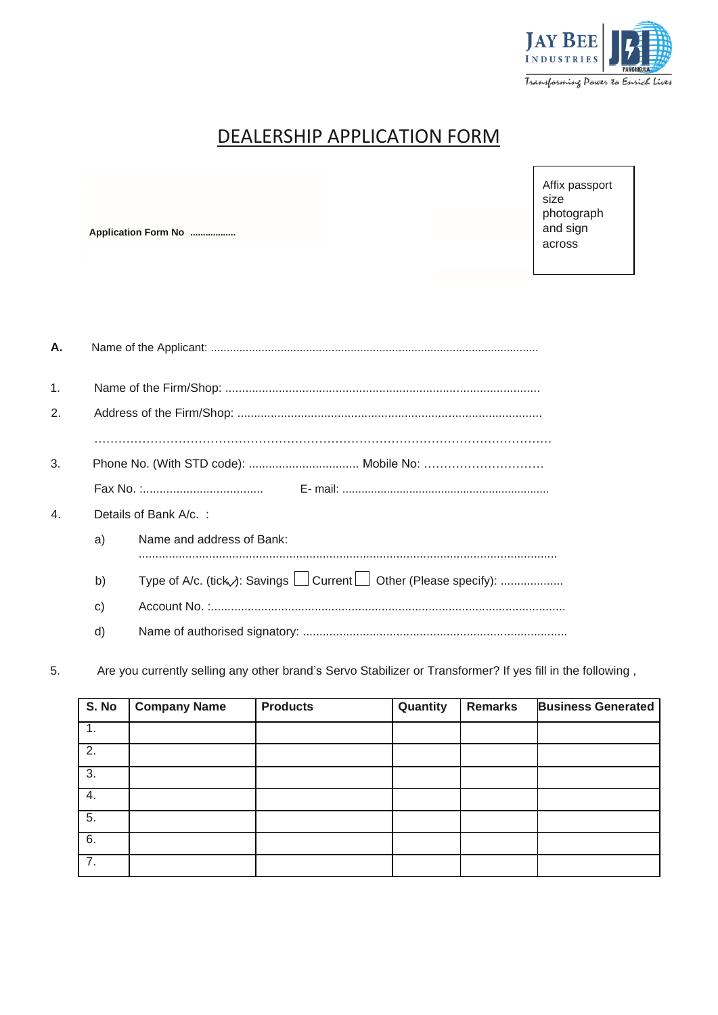

## DEALERSHIP APPLICATION FORM

**Application Form No ..................**

Affix passport size photograph and sign across

| А.               |                       |                           |  |  |  |
|------------------|-----------------------|---------------------------|--|--|--|
| $\mathbf{1}$ .   |                       |                           |  |  |  |
| 2.               |                       |                           |  |  |  |
|                  |                       |                           |  |  |  |
| 3.               |                       |                           |  |  |  |
|                  |                       |                           |  |  |  |
| $\overline{4}$ . | Details of Bank A/c.: |                           |  |  |  |
|                  | a)                    | Name and address of Bank: |  |  |  |
|                  | b)                    |                           |  |  |  |
|                  | C)                    |                           |  |  |  |
|                  | d)                    |                           |  |  |  |
|                  |                       |                           |  |  |  |

5. Are you currently selling any other brand's Servo Stabilizer or Transformer? If yes fill in the following ,

| S. No            | <b>Company Name</b> | <b>Products</b> | Quantity | <b>Remarks</b> | <b>Business Generated</b> |
|------------------|---------------------|-----------------|----------|----------------|---------------------------|
| $\mathbf{1}$ .   |                     |                 |          |                |                           |
| $\overline{2}$ . |                     |                 |          |                |                           |
| 3.               |                     |                 |          |                |                           |
| $\overline{4}$ . |                     |                 |          |                |                           |
| $\overline{5}$ . |                     |                 |          |                |                           |
| 6.               |                     |                 |          |                |                           |
| 7.               |                     |                 |          |                |                           |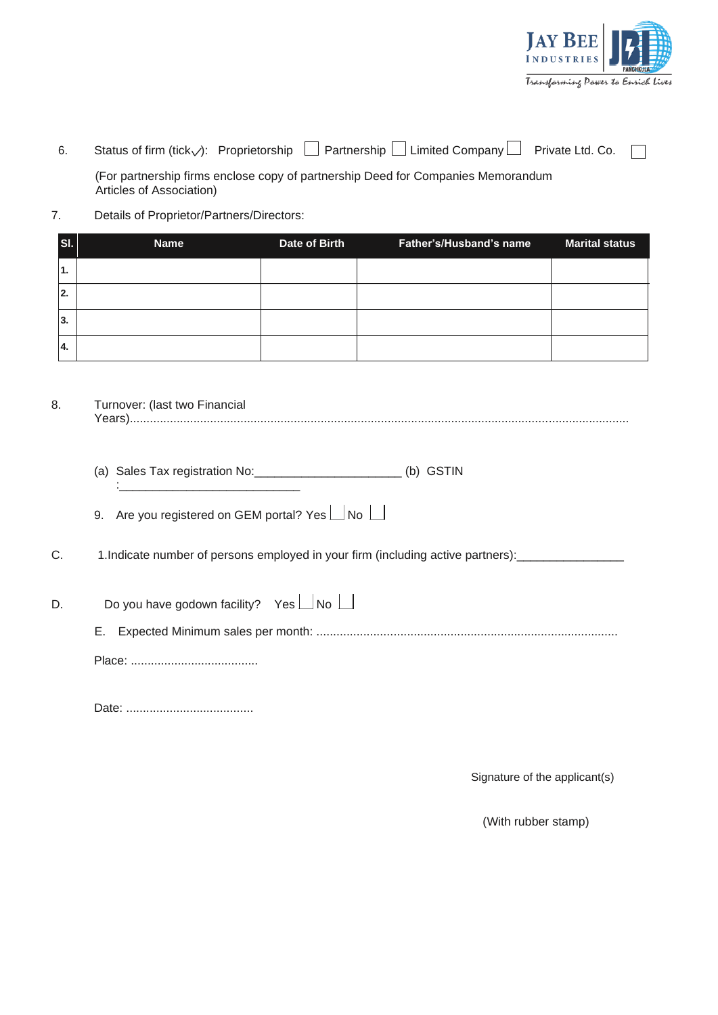

| 6. |  |  |  | Status of firm (tick $\sqrt{ }$ ): Proprietorship $\Box$ Partnership $\Box$ Limited Company $\Box$ Private Ltd. Co. $\Box$ |  |  |
|----|--|--|--|----------------------------------------------------------------------------------------------------------------------------|--|--|
|----|--|--|--|----------------------------------------------------------------------------------------------------------------------------|--|--|

(For partnership firms enclose copy of partnership Deed for Companies Memorandum Articles of Association)

7. Details of Proprietor/Partners/Directors:

| SI.             | <b>Name</b> | Date of Birth | Father's/Husband's name | <b>Marital status</b> |
|-----------------|-------------|---------------|-------------------------|-----------------------|
| 1.              |             |               |                         |                       |
| $^{\prime}$ 2.  |             |               |                         |                       |
| 3.              |             |               |                         |                       |
| <sup>1</sup> 4. |             |               |                         |                       |

- 8. Turnover: (last two Financial Years).....................................................................................................................................................
	- (a) Sales Tax registration No:\_\_\_\_\_\_\_\_\_\_\_\_\_\_\_\_\_\_\_\_\_\_ (b) GSTIN :\_\_\_\_\_\_\_\_\_\_\_\_\_\_\_\_\_\_\_\_\_\_\_\_\_\_\_
	- 9. Are you registered on GEM portal? Yes  $\Box$  No  $\Box$
- C. 1.Indicate number of persons employed in your firm (including active partners):
- D. Do you have godown facility? Yes  $\Box$  No  $\Box$ 
	- E. Expected Minimum sales per month: ..........................................................................................
	- Place: ......................................

Date: ......................................

Signature of the applicant(s)

(With rubber stamp)